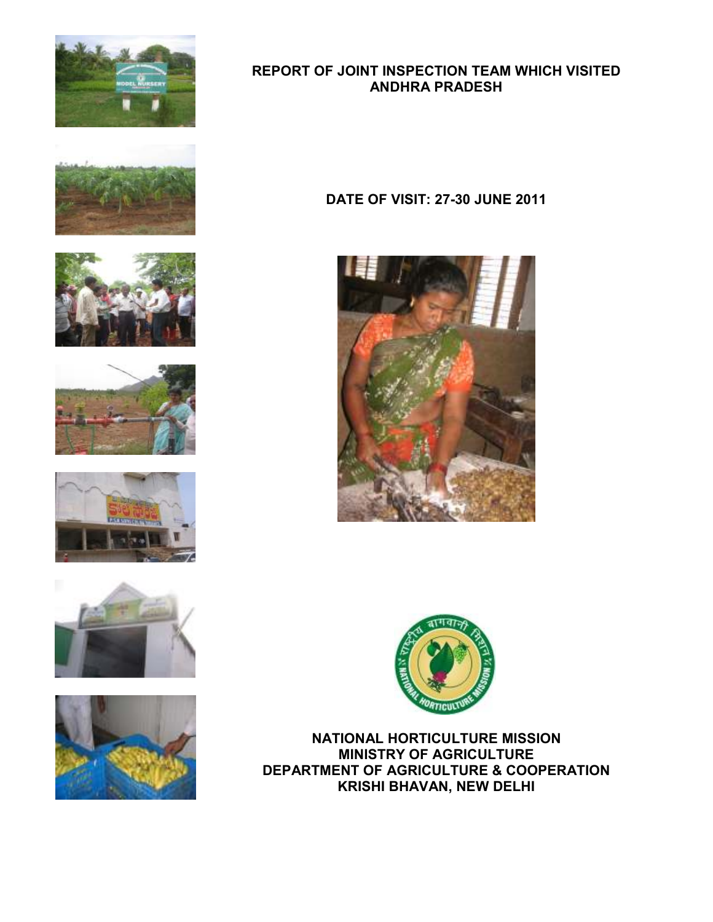

# REPORT OF JOINT INSPECTION TEAM WHICH VISITED ANDHRA PRADESH













## DATE OF VISIT: 27-30 JUNE 2011





NATIONAL HORTICULTURE MISSION MINISTRY OF AGRICULTURE DEPARTMENT OF AGRICULTURE & COOPERATION KRISHI BHAVAN, NEW DELHI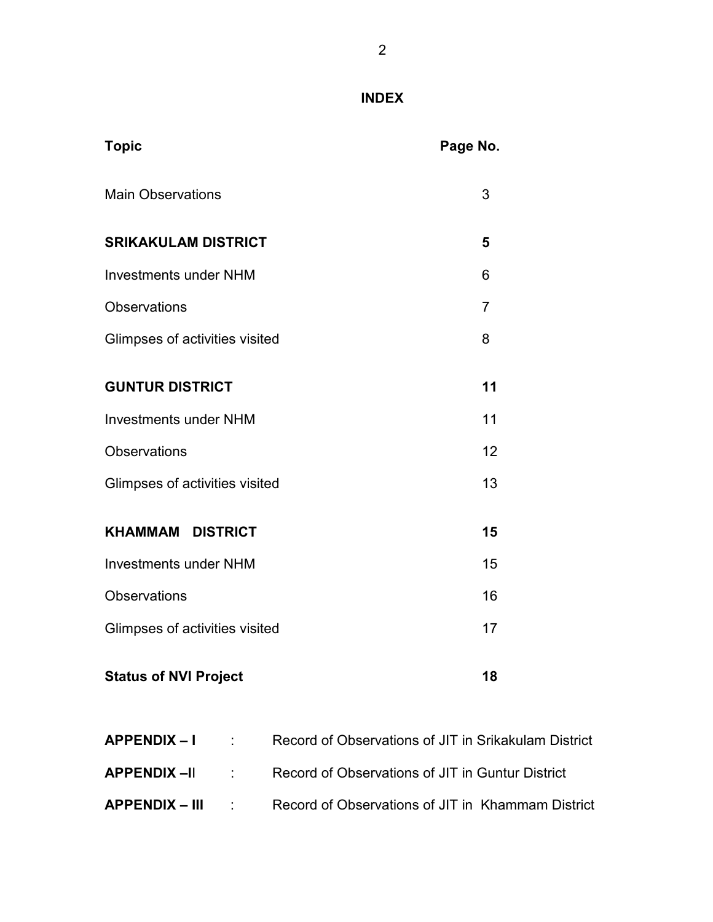# INDEX

| <b>Topic</b>                   | Page No. |
|--------------------------------|----------|
| <b>Main Observations</b>       | 3        |
| <b>SRIKAKULAM DISTRICT</b>     | 5        |
| <b>Investments under NHM</b>   | 6        |
| <b>Observations</b>            | 7        |
| Glimpses of activities visited | 8        |
| <b>GUNTUR DISTRICT</b>         | 11       |
| <b>Investments under NHM</b>   | 11       |
| <b>Observations</b>            | 12       |
| Glimpses of activities visited | 13       |
| <b>KHAMMAM DISTRICT</b>        | 15       |
| <b>Investments under NHM</b>   | 15       |
| <b>Observations</b>            | 16       |
| Glimpses of activities visited | 17       |
| <b>Status of NVI Project</b>   | 18       |

| APPENDIX – I   | <b>Contract Contract</b> | Record of Observations of JIT in Srikakulam District |
|----------------|--------------------------|------------------------------------------------------|
|                |                          | Record of Observations of JIT in Guntur District     |
| APPENDIX – III | and the first state      | Record of Observations of JIT in Khammam District    |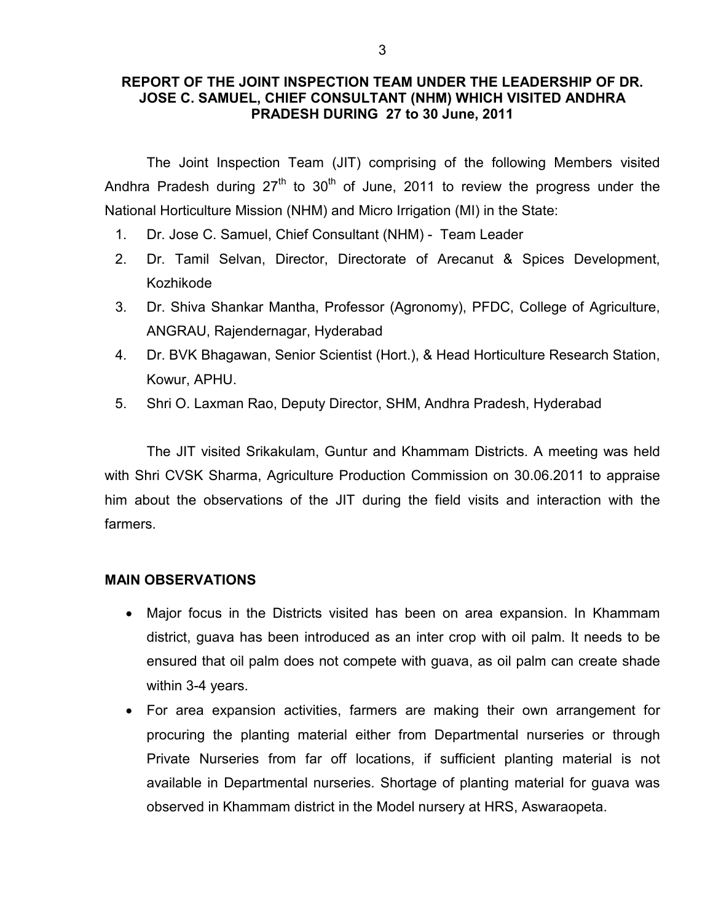#### REPORT OF THE JOINT INSPECTION TEAM UNDER THE LEADERSHIP OF DR. JOSE C. SAMUEL, CHIEF CONSULTANT (NHM) WHICH VISITED ANDHRA PRADESH DURING 27 to 30 June, 2011

 The Joint Inspection Team (JIT) comprising of the following Members visited Andhra Pradesh during  $27<sup>th</sup>$  to  $30<sup>th</sup>$  of June, 2011 to review the progress under the National Horticulture Mission (NHM) and Micro Irrigation (MI) in the State:

- 1. Dr. Jose C. Samuel, Chief Consultant (NHM) Team Leader
- 2. Dr. Tamil Selvan, Director, Directorate of Arecanut & Spices Development, Kozhikode
- 3. Dr. Shiva Shankar Mantha, Professor (Agronomy), PFDC, College of Agriculture, ANGRAU, Rajendernagar, Hyderabad
- 4. Dr. BVK Bhagawan, Senior Scientist (Hort.), & Head Horticulture Research Station, Kowur, APHU.
- 5. Shri O. Laxman Rao, Deputy Director, SHM, Andhra Pradesh, Hyderabad

The JIT visited Srikakulam, Guntur and Khammam Districts. A meeting was held with Shri CVSK Sharma, Agriculture Production Commission on 30.06.2011 to appraise him about the observations of the JIT during the field visits and interaction with the farmers.

#### MAIN OBSERVATIONS

- Major focus in the Districts visited has been on area expansion. In Khammam district, guava has been introduced as an inter crop with oil palm. It needs to be ensured that oil palm does not compete with guava, as oil palm can create shade within 3-4 years.
- For area expansion activities, farmers are making their own arrangement for procuring the planting material either from Departmental nurseries or through Private Nurseries from far off locations, if sufficient planting material is not available in Departmental nurseries. Shortage of planting material for guava was observed in Khammam district in the Model nursery at HRS, Aswaraopeta.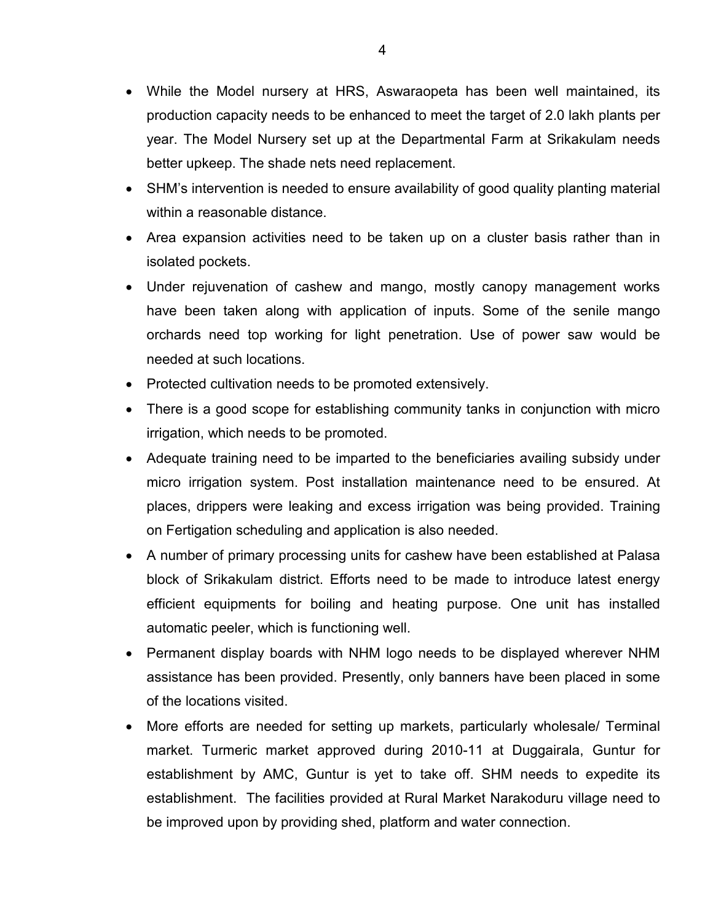- While the Model nursery at HRS, Aswaraopeta has been well maintained, its production capacity needs to be enhanced to meet the target of 2.0 lakh plants per year. The Model Nursery set up at the Departmental Farm at Srikakulam needs better upkeep. The shade nets need replacement.
- SHM's intervention is needed to ensure availability of good quality planting material within a reasonable distance.
- Area expansion activities need to be taken up on a cluster basis rather than in isolated pockets.
- Under rejuvenation of cashew and mango, mostly canopy management works have been taken along with application of inputs. Some of the senile mango orchards need top working for light penetration. Use of power saw would be needed at such locations.
- Protected cultivation needs to be promoted extensively.
- There is a good scope for establishing community tanks in conjunction with micro irrigation, which needs to be promoted.
- Adequate training need to be imparted to the beneficiaries availing subsidy under micro irrigation system. Post installation maintenance need to be ensured. At places, drippers were leaking and excess irrigation was being provided. Training on Fertigation scheduling and application is also needed.
- A number of primary processing units for cashew have been established at Palasa block of Srikakulam district. Efforts need to be made to introduce latest energy efficient equipments for boiling and heating purpose. One unit has installed automatic peeler, which is functioning well.
- Permanent display boards with NHM logo needs to be displayed wherever NHM assistance has been provided. Presently, only banners have been placed in some of the locations visited.
- More efforts are needed for setting up markets, particularly wholesale/ Terminal market. Turmeric market approved during 2010-11 at Duggairala, Guntur for establishment by AMC, Guntur is yet to take off. SHM needs to expedite its establishment. The facilities provided at Rural Market Narakoduru village need to be improved upon by providing shed, platform and water connection.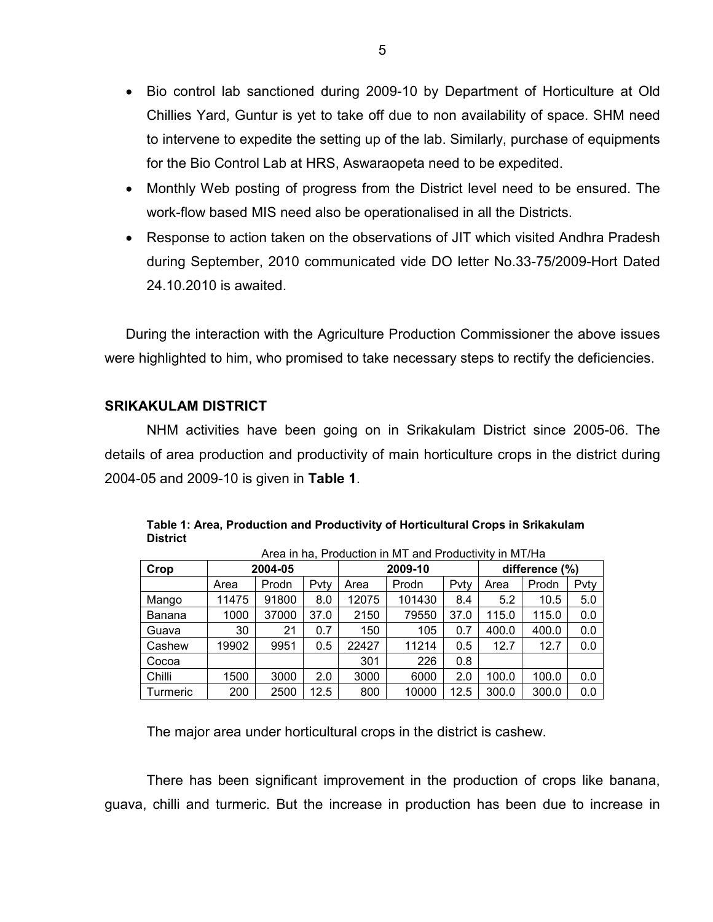- Bio control lab sanctioned during 2009-10 by Department of Horticulture at Old Chillies Yard, Guntur is yet to take off due to non availability of space. SHM need to intervene to expedite the setting up of the lab. Similarly, purchase of equipments for the Bio Control Lab at HRS, Aswaraopeta need to be expedited.
- Monthly Web posting of progress from the District level need to be ensured. The work-flow based MIS need also be operationalised in all the Districts.
- Response to action taken on the observations of JIT which visited Andhra Pradesh during September, 2010 communicated vide DO letter No.33-75/2009-Hort Dated 24.10.2010 is awaited.

During the interaction with the Agriculture Production Commissioner the above issues were highlighted to him, who promised to take necessary steps to rectify the deficiencies.

#### SRIKAKULAM DISTRICT

 NHM activities have been going on in Srikakulam District since 2005-06. The details of area production and productivity of main horticulture crops in the district during 2004-05 and 2009-10 is given in Table 1.

|          | Area in ha, Production in M Fand Productivity in M F/Ha |       |      |       |         |                |       |       |      |
|----------|---------------------------------------------------------|-------|------|-------|---------|----------------|-------|-------|------|
| Crop     | 2004-05                                                 |       |      |       | 2009-10 | difference (%) |       |       |      |
|          | Area                                                    | Prodn | Pvtv | Area  | Prodn   | Pvty           | Area  | Prodn | Pvty |
| Mango    | 11475                                                   | 91800 | 8.0  | 12075 | 101430  | 8.4            | 5.2   | 10.5  | 5.0  |
| Banana   | 1000                                                    | 37000 | 37.0 | 2150  | 79550   | 37.0           | 115.0 | 115.0 | 0.0  |
| Guava    | 30                                                      | 21    | 0.7  | 150   | 105     | 0.7            | 400.0 | 400.0 | 0.0  |
| Cashew   | 19902                                                   | 9951  | 0.5  | 22427 | 11214   | 0.5            | 12.7  | 12.7  | 0.0  |
| Cocoa    |                                                         |       |      | 301   | 226     | 0.8            |       |       |      |
| Chilli   | 1500                                                    | 3000  | 2.0  | 3000  | 6000    | 2.0            | 100.0 | 100.0 | 0.0  |
| Turmeric | 200                                                     | 2500  | 12.5 | 800   | 10000   | 12.5           | 300.0 | 300.0 | 0.0  |

Table 1: Area, Production and Productivity of Horticultural Crops in Srikakulam **District**  $A = \sum_{i=1}^{n} A_i$ 

The major area under horticultural crops in the district is cashew.

 There has been significant improvement in the production of crops like banana, guava, chilli and turmeric. But the increase in production has been due to increase in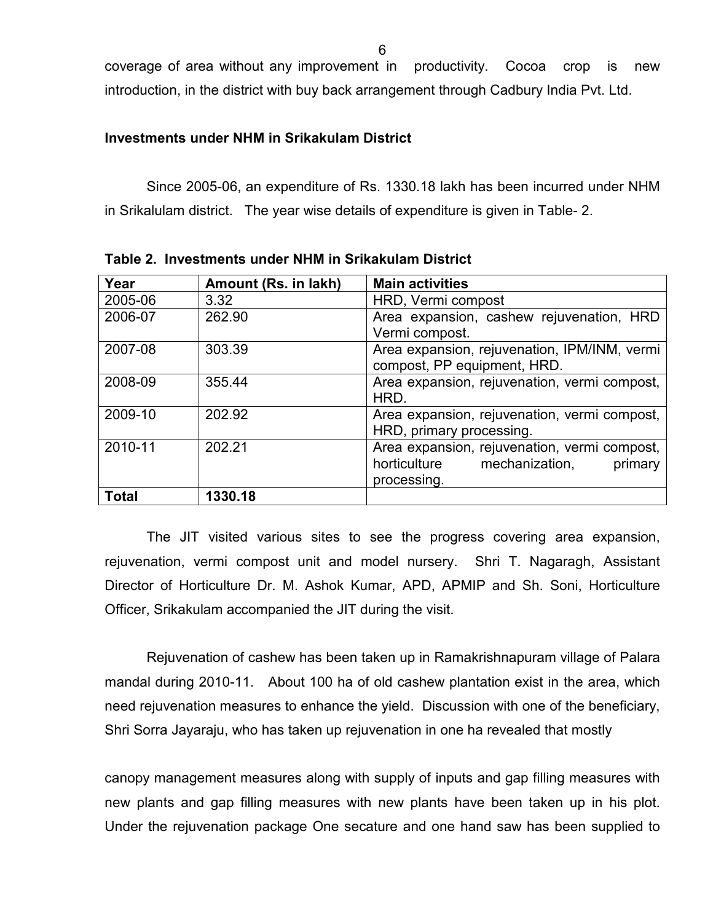6

coverage of area without any improvement in productivity. Cocoa crop is new introduction, in the district with buy back arrangement through Cadbury India Pvt. Ltd.

#### Investments under NHM in Srikakulam District

 Since 2005-06, an expenditure of Rs. 1330.18 lakh has been incurred under NHM in Srikalulam district. The year wise details of expenditure is given in Table- 2.

| Year         | Amount (Rs. in lakh) | <b>Main activities</b>                       |
|--------------|----------------------|----------------------------------------------|
|              |                      |                                              |
| 2005-06      | 3.32                 | HRD, Vermi compost                           |
| 2006-07      | 262.90               | Area expansion, cashew rejuvenation, HRD     |
|              |                      | Vermi compost.                               |
| 2007-08      | 303.39               | Area expansion, rejuvenation, IPM/INM, vermi |
|              |                      | compost, PP equipment, HRD.                  |
| 2008-09      | 355.44               | Area expansion, rejuvenation, vermi compost, |
|              |                      | HRD.                                         |
| 2009-10      | 202.92               | Area expansion, rejuvenation, vermi compost, |
|              |                      | HRD, primary processing.                     |
| 2010-11      | 202.21               | Area expansion, rejuvenation, vermi compost, |
|              |                      | horticulture mechanization,<br>primary       |
|              |                      | processing.                                  |
| <b>Total</b> | 1330.18              |                                              |
|              |                      |                                              |

Table 2. Investments under NHM in Srikakulam District

The JIT visited various sites to see the progress covering area expansion, rejuvenation, vermi compost unit and model nursery. Shri T. Nagaragh, Assistant Director of Horticulture Dr. M. Ashok Kumar, APD, APMIP and Sh. Soni, Horticulture Officer, Srikakulam accompanied the JIT during the visit.

 Rejuvenation of cashew has been taken up in Ramakrishnapuram village of Palara mandal during 2010-11. About 100 ha of old cashew plantation exist in the area, which need rejuvenation measures to enhance the yield. Discussion with one of the beneficiary, Shri Sorra Jayaraju, who has taken up rejuvenation in one ha revealed that mostly

canopy management measures along with supply of inputs and gap filling measures with new plants and gap filling measures with new plants have been taken up in his plot. Under the rejuvenation package One secature and one hand saw has been supplied to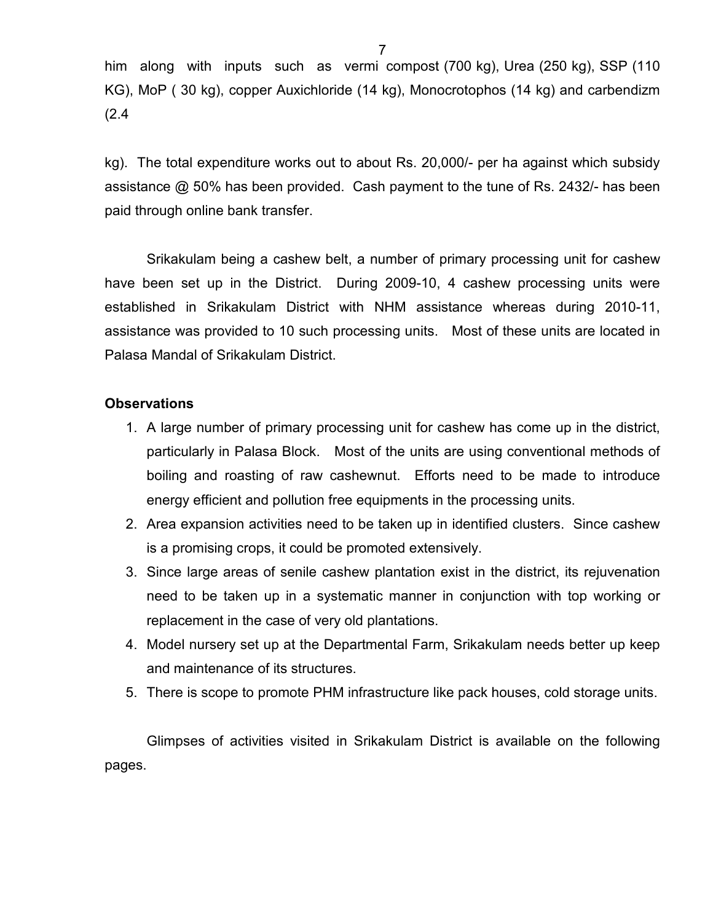him along with inputs such as vermi compost (700 kg), Urea (250 kg), SSP (110 KG), MoP ( 30 kg), copper Auxichloride (14 kg), Monocrotophos (14 kg) and carbendizm (2.4

kg). The total expenditure works out to about Rs. 20,000/- per ha against which subsidy assistance @ 50% has been provided. Cash payment to the tune of Rs. 2432/- has been paid through online bank transfer.

 Srikakulam being a cashew belt, a number of primary processing unit for cashew have been set up in the District. During 2009-10, 4 cashew processing units were established in Srikakulam District with NHM assistance whereas during 2010-11, assistance was provided to 10 such processing units. Most of these units are located in Palasa Mandal of Srikakulam District.

### **Observations**

- 1. A large number of primary processing unit for cashew has come up in the district, particularly in Palasa Block. Most of the units are using conventional methods of boiling and roasting of raw cashewnut. Efforts need to be made to introduce energy efficient and pollution free equipments in the processing units.
- 2. Area expansion activities need to be taken up in identified clusters. Since cashew is a promising crops, it could be promoted extensively.
- 3. Since large areas of senile cashew plantation exist in the district, its rejuvenation need to be taken up in a systematic manner in conjunction with top working or replacement in the case of very old plantations.
- 4. Model nursery set up at the Departmental Farm, Srikakulam needs better up keep and maintenance of its structures.
- 5. There is scope to promote PHM infrastructure like pack houses, cold storage units.

 Glimpses of activities visited in Srikakulam District is available on the following pages.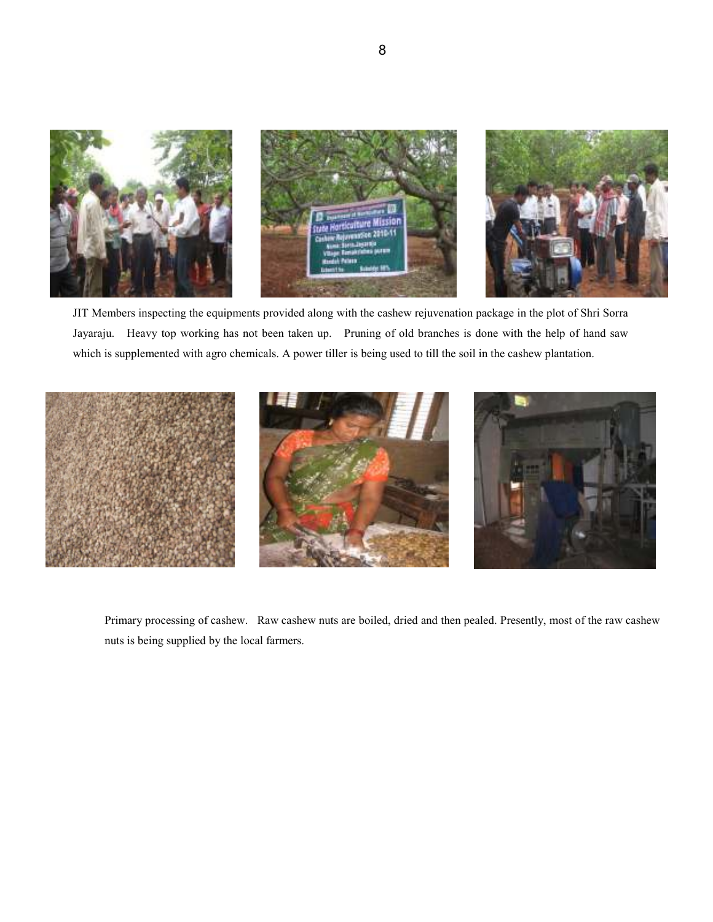

JIT Members inspecting the equipments provided along with the cashew rejuvenation package in the plot of Shri Sorra Jayaraju. Heavy top working has not been taken up. Pruning of old branches is done with the help of hand saw which is supplemented with agro chemicals. A power tiller is being used to till the soil in the cashew plantation.



Primary processing of cashew. Raw cashew nuts are boiled, dried and then pealed. Presently, most of the raw cashew nuts is being supplied by the local farmers.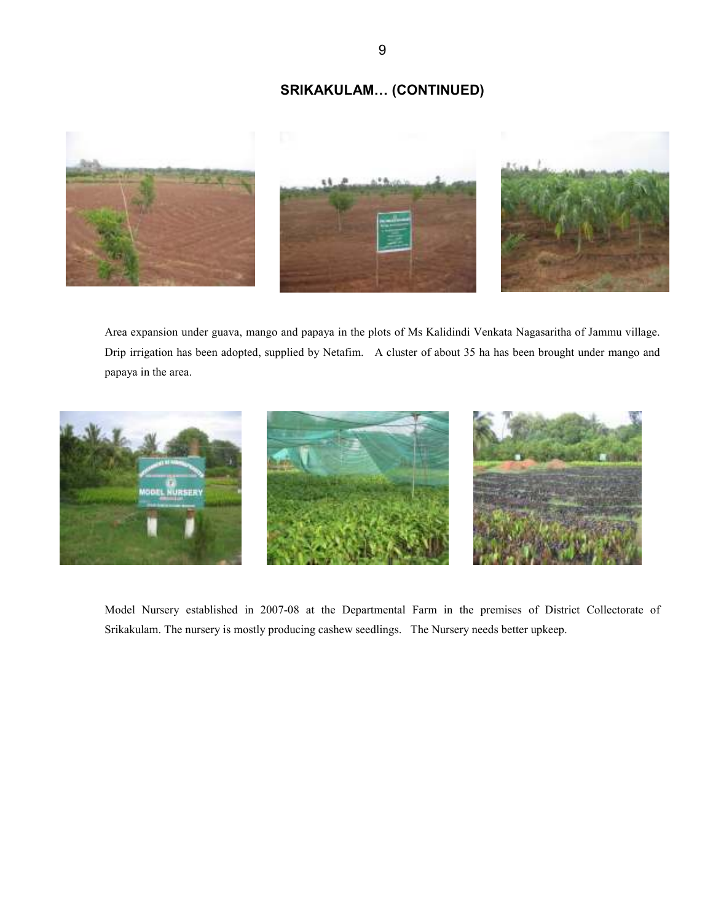# SRIKAKULAM… (CONTINUED)



Area expansion under guava, mango and papaya in the plots of Ms Kalidindi Venkata Nagasaritha of Jammu village. Drip irrigation has been adopted, supplied by Netafim. A cluster of about 35 ha has been brought under mango and papaya in the area.



Model Nursery established in 2007-08 at the Departmental Farm in the premises of District Collectorate of Srikakulam. The nursery is mostly producing cashew seedlings. The Nursery needs better upkeep.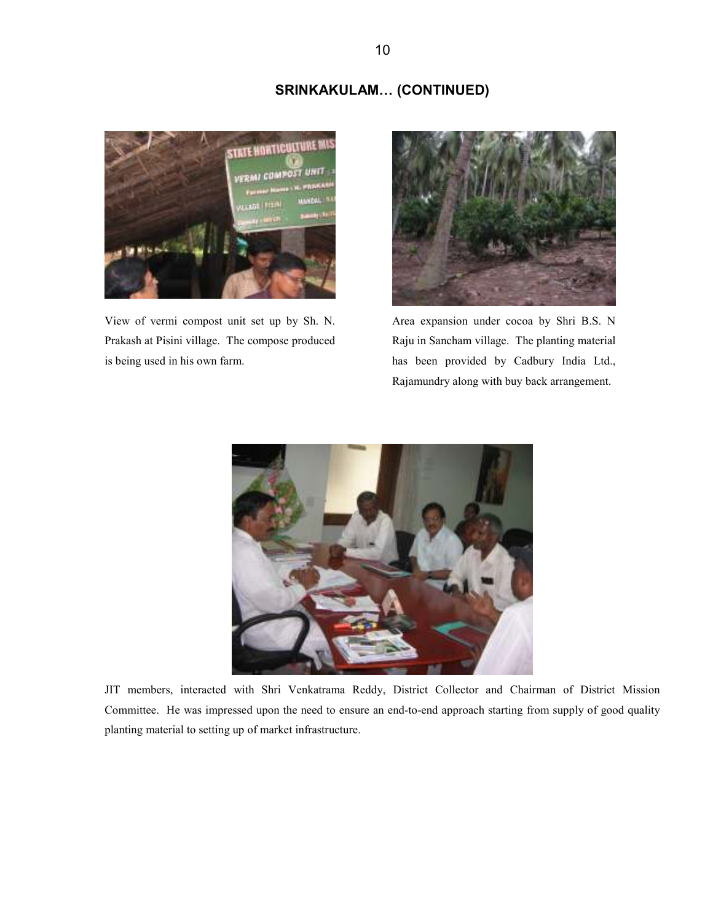#### SRINKAKULAM… (CONTINUED)



View of vermi compost unit set up by Sh. N. Prakash at Pisini village. The compose produced is being used in his own farm.



Area expansion under cocoa by Shri B.S. N Raju in Sancham village. The planting material has been provided by Cadbury India Ltd., Rajamundry along with buy back arrangement.



JIT members, interacted with Shri Venkatrama Reddy, District Collector and Chairman of District Mission Committee. He was impressed upon the need to ensure an end-to-end approach starting from supply of good quality planting material to setting up of market infrastructure.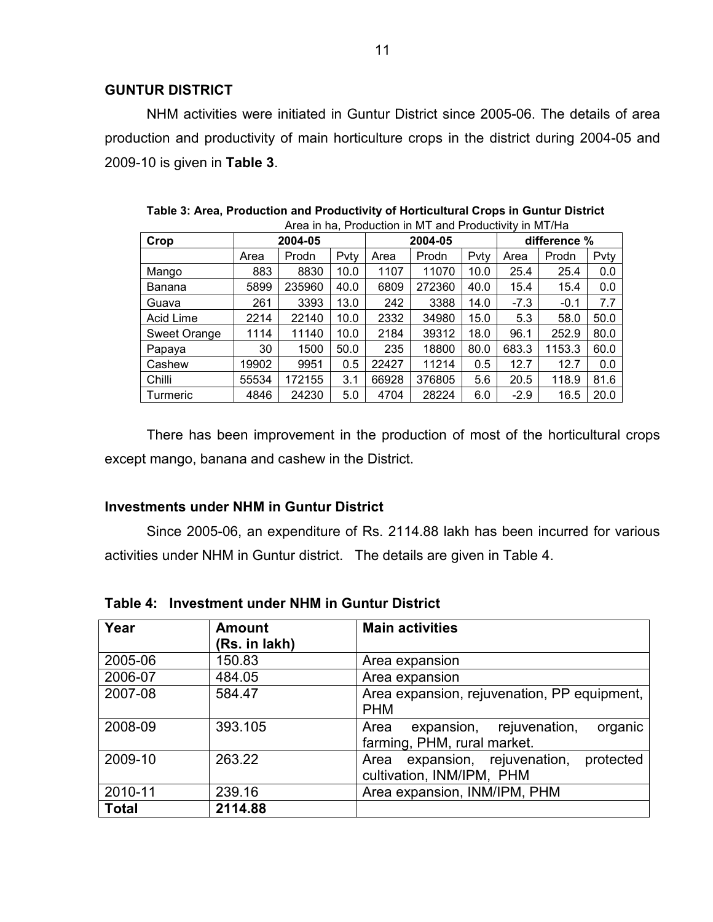#### GUNTUR DISTRICT

NHM activities were initiated in Guntur District since 2005-06. The details of area production and productivity of main horticulture crops in the district during 2004-05 and 2009-10 is given in Table 3.

| Alea III Ha, FIOQUCIIOII III IVI L and FIOQUCIIVITY III IVI DHA |       |         |      |       |         |      |              |        |      |
|-----------------------------------------------------------------|-------|---------|------|-------|---------|------|--------------|--------|------|
| Crop                                                            |       | 2004-05 |      |       | 2004-05 |      | difference % |        |      |
|                                                                 | Area  | Prodn   | Pvty | Area  | Prodn   | Pvty | Area         | Prodn  | Pvty |
| Mango                                                           | 883   | 8830    | 10.0 | 1107  | 11070   | 10.0 | 25.4         | 25.4   | 0.0  |
| Banana                                                          | 5899  | 235960  | 40.0 | 6809  | 272360  | 40.0 | 15.4         | 15.4   | 0.0  |
| Guava                                                           | 261   | 3393    | 13.0 | 242   | 3388    | 14.0 | $-7.3$       | $-0.1$ | 7.7  |
| Acid Lime                                                       | 2214  | 22140   | 10.0 | 2332  | 34980   | 15.0 | 5.3          | 58.0   | 50.0 |
| Sweet Orange                                                    | 1114  | 11140   | 10.0 | 2184  | 39312   | 18.0 | 96.1         | 252.9  | 80.0 |
| Papaya                                                          | 30    | 1500    | 50.0 | 235   | 18800   | 80.0 | 683.3        | 1153.3 | 60.0 |
| Cashew                                                          | 19902 | 9951    | 0.5  | 22427 | 11214   | 0.5  | 12.7         | 12.7   | 0.0  |
| Chilli                                                          | 55534 | 172155  | 3.1  | 66928 | 376805  | 5.6  | 20.5         | 118.9  | 81.6 |
| Turmeric                                                        | 4846  | 24230   | 5.0  | 4704  | 28224   | 6.0  | $-2.9$       | 16.5   | 20.0 |

| Table 3: Area, Production and Productivity of Horticultural Crops in Guntur District |  |                                                        |  |  |  |
|--------------------------------------------------------------------------------------|--|--------------------------------------------------------|--|--|--|
|                                                                                      |  | Aron in ha. Production in MT and Productivity in MT/Ha |  |  |  |

 There has been improvement in the production of most of the horticultural crops except mango, banana and cashew in the District.

#### Investments under NHM in Guntur District

 Since 2005-06, an expenditure of Rs. 2114.88 lakh has been incurred for various activities under NHM in Guntur district. The details are given in Table 4.

Table 4: Investment under NHM in Guntur District

| Year         | <b>Amount</b> | <b>Main activities</b>                                                        |
|--------------|---------------|-------------------------------------------------------------------------------|
|              | (Rs. in lakh) |                                                                               |
| 2005-06      | 150.83        | Area expansion                                                                |
| 2006-07      | 484.05        | Area expansion                                                                |
| 2007-08      | 584.47        | Area expansion, rejuvenation, PP equipment,<br><b>PHM</b>                     |
| 2008-09      | 393.105       | expansion,<br>organic<br>rejuvenation,<br>Area<br>farming, PHM, rural market. |
| 2009-10      | 263.22        | expansion, rejuvenation,<br>protected<br>Area<br>cultivation, INM/IPM, PHM    |
| 2010-11      | 239.16        | Area expansion, INM/IPM, PHM                                                  |
| <b>Total</b> | 2114.88       |                                                                               |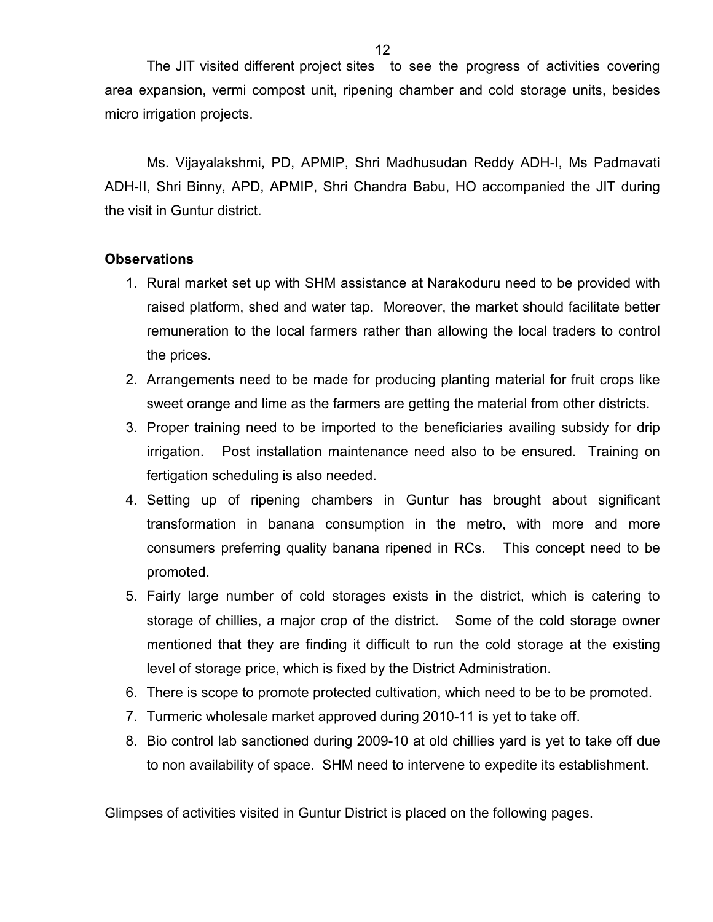The JIT visited different project sites to see the progress of activities covering area expansion, vermi compost unit, ripening chamber and cold storage units, besides micro irrigation projects.

 Ms. Vijayalakshmi, PD, APMIP, Shri Madhusudan Reddy ADH-I, Ms Padmavati ADH-II, Shri Binny, APD, APMIP, Shri Chandra Babu, HO accompanied the JIT during the visit in Guntur district.

### **Observations**

- 1. Rural market set up with SHM assistance at Narakoduru need to be provided with raised platform, shed and water tap. Moreover, the market should facilitate better remuneration to the local farmers rather than allowing the local traders to control the prices.
- 2. Arrangements need to be made for producing planting material for fruit crops like sweet orange and lime as the farmers are getting the material from other districts.
- 3. Proper training need to be imported to the beneficiaries availing subsidy for drip irrigation. Post installation maintenance need also to be ensured. Training on fertigation scheduling is also needed.
- 4. Setting up of ripening chambers in Guntur has brought about significant transformation in banana consumption in the metro, with more and more consumers preferring quality banana ripened in RCs. This concept need to be promoted.
- 5. Fairly large number of cold storages exists in the district, which is catering to storage of chillies, a major crop of the district. Some of the cold storage owner mentioned that they are finding it difficult to run the cold storage at the existing level of storage price, which is fixed by the District Administration.
- 6. There is scope to promote protected cultivation, which need to be to be promoted.
- 7. Turmeric wholesale market approved during 2010-11 is yet to take off.
- 8. Bio control lab sanctioned during 2009-10 at old chillies yard is yet to take off due to non availability of space. SHM need to intervene to expedite its establishment.

Glimpses of activities visited in Guntur District is placed on the following pages.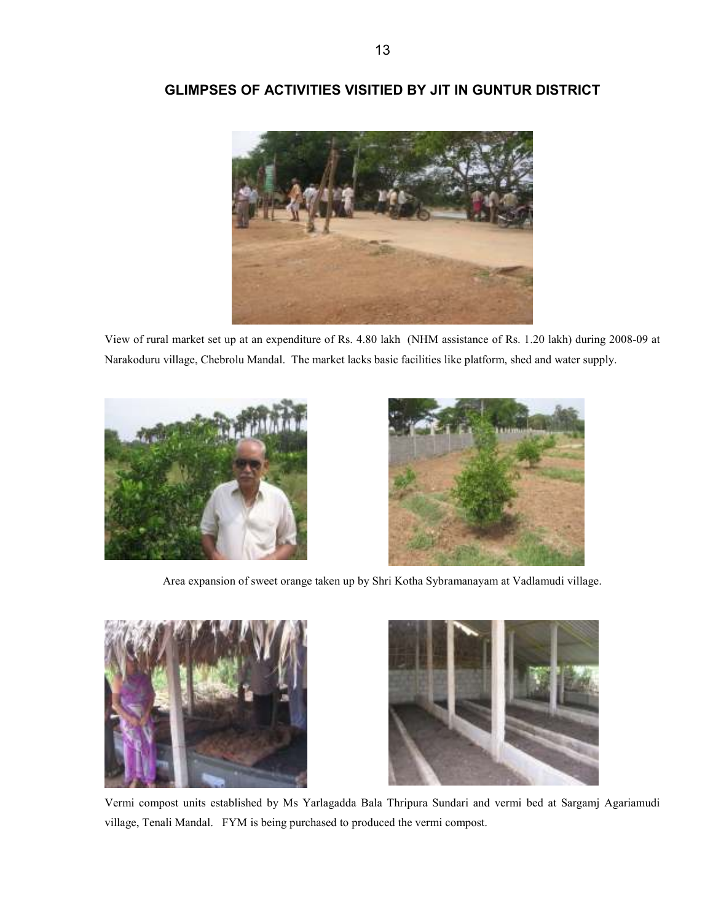

# GLIMPSES OF ACTIVITIES VISITIED BY JIT IN GUNTUR DISTRICT

View of rural market set up at an expenditure of Rs. 4.80 lakh (NHM assistance of Rs. 1.20 lakh) during 2008-09 at Narakoduru village, Chebrolu Mandal. The market lacks basic facilities like platform, shed and water supply.





Area expansion of sweet orange taken up by Shri Kotha Sybramanayam at Vadlamudi village.





Vermi compost units established by Ms Yarlagadda Bala Thripura Sundari and vermi bed at Sargamj Agariamudi village, Tenali Mandal. FYM is being purchased to produced the vermi compost.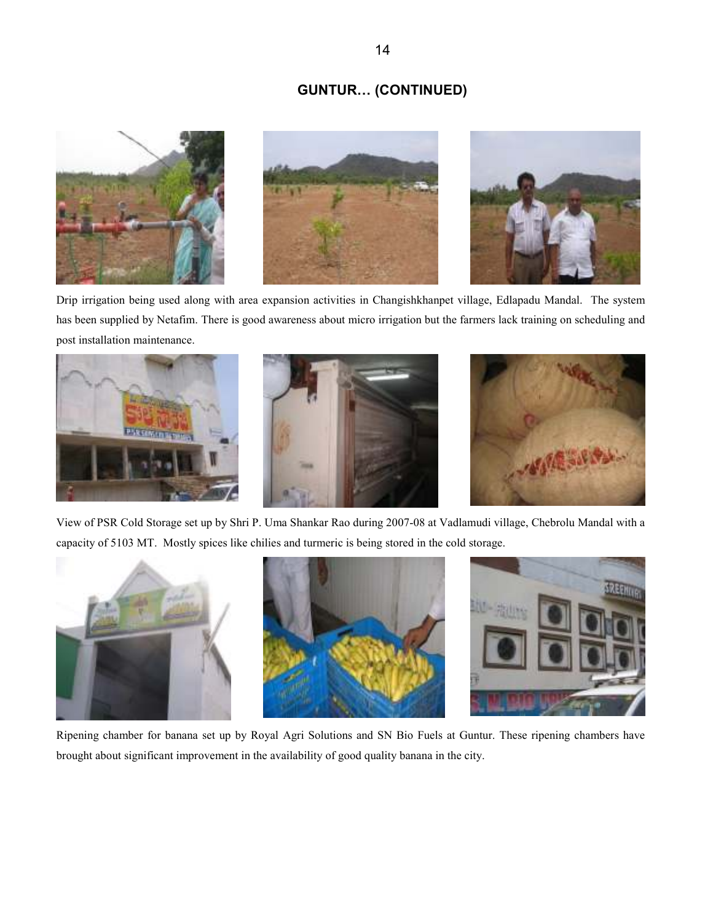#### GUNTUR… (CONTINUED)



Drip irrigation being used along with area expansion activities in Changishkhanpet village, Edlapadu Mandal. The system has been supplied by Netafim. There is good awareness about micro irrigation but the farmers lack training on scheduling and post installation maintenance.







View of PSR Cold Storage set up by Shri P. Uma Shankar Rao during 2007-08 at Vadlamudi village, Chebrolu Mandal with a capacity of 5103 MT. Mostly spices like chilies and turmeric is being stored in the cold storage.



Ripening chamber for banana set up by Royal Agri Solutions and SN Bio Fuels at Guntur. These ripening chambers have brought about significant improvement in the availability of good quality banana in the city.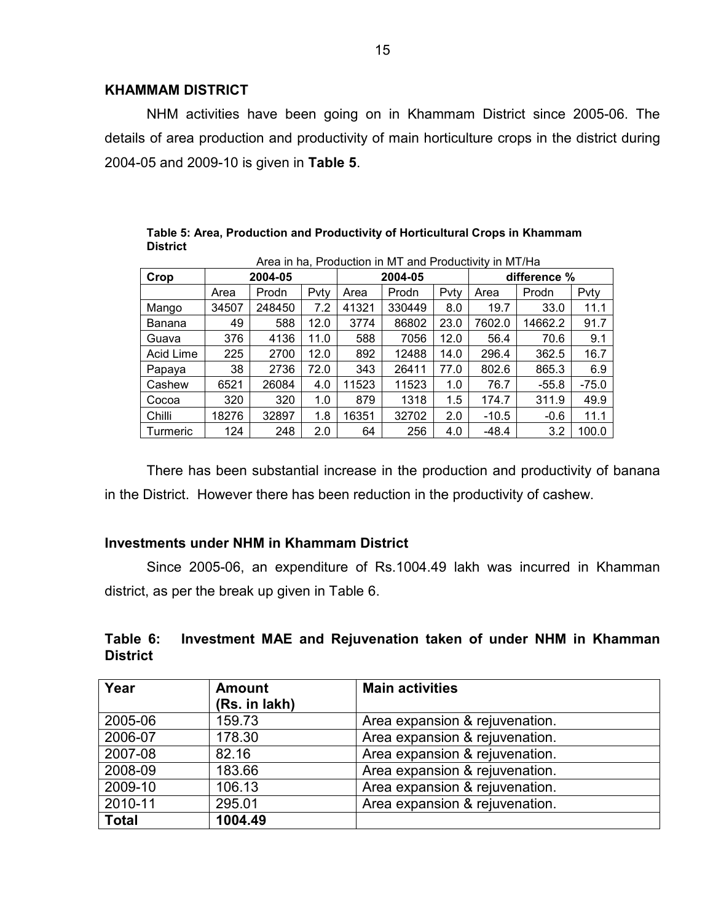#### KHAMMAM DISTRICT

NHM activities have been going on in Khammam District since 2005-06. The details of area production and productivity of main horticulture crops in the district during 2004-05 and 2009-10 is given in Table 5.

|                 | Alea III IIa, FIOQUCIIOII III IVI Laliu FIOQUCIIVILY III IVI I/Ha |        |      |         |        |      |              |         |         |
|-----------------|-------------------------------------------------------------------|--------|------|---------|--------|------|--------------|---------|---------|
| Crop            | 2004-05                                                           |        |      | 2004-05 |        |      | difference % |         |         |
|                 | Area                                                              | Prodn  | Pvty | Area    | Prodn  | Pvty | Area         | Prodn   | Pvty    |
| Mango           | 34507                                                             | 248450 | 7.2  | 41321   | 330449 | 8.0  | 19.7         | 33.0    | 11.1    |
| Banana          | 49                                                                | 588    | 12.0 | 3774    | 86802  | 23.0 | 7602.0       | 14662.2 | 91.7    |
| Guava           | 376                                                               | 4136   | 11.0 | 588     | 7056   | 12.0 | 56.4         | 70.6    | 9.1     |
| Acid Lime       | 225                                                               | 2700   | 12.0 | 892     | 12488  | 14.0 | 296.4        | 362.5   | 16.7    |
| Papaya          | 38                                                                | 2736   | 72.0 | 343     | 26411  | 77.0 | 802.6        | 865.3   | 6.9     |
| Cashew          | 6521                                                              | 26084  | 4.0  | 11523   | 11523  | 1.0  | 76.7         | $-55.8$ | $-75.0$ |
| Cocoa           | 320                                                               | 320    | 1.0  | 879     | 1318   | 1.5  | 174.7        | 311.9   | 49.9    |
| Chilli          | 18276                                                             | 32897  | 1.8  | 16351   | 32702  | 2.0  | $-10.5$      | $-0.6$  | 11.1    |
| <b>Turmeric</b> | 124                                                               | 248    | 2.0  | 64      | 256    | 4.0  | $-48.4$      | 3.2     | 100.0   |

Table 5: Area, Production and Productivity of Horticultural Crops in Khammam **District** Area in ha, Production in MT and Productivity in MT/Ha

 There has been substantial increase in the production and productivity of banana in the District. However there has been reduction in the productivity of cashew.

#### Investments under NHM in Khammam District

 Since 2005-06, an expenditure of Rs.1004.49 lakh was incurred in Khamman district, as per the break up given in Table 6.

### Table 6: Investment MAE and Rejuvenation taken of under NHM in Khamman **District**

| Year         | <b>Amount</b> | <b>Main activities</b>         |
|--------------|---------------|--------------------------------|
|              | (Rs. in lakh) |                                |
| 2005-06      | 159.73        | Area expansion & rejuvenation. |
| 2006-07      | 178.30        | Area expansion & rejuvenation. |
| 2007-08      | 82.16         | Area expansion & rejuvenation. |
| 2008-09      | 183.66        | Area expansion & rejuvenation. |
| 2009-10      | 106.13        | Area expansion & rejuvenation. |
| 2010-11      | 295.01        | Area expansion & rejuvenation. |
| <b>Total</b> | 1004.49       |                                |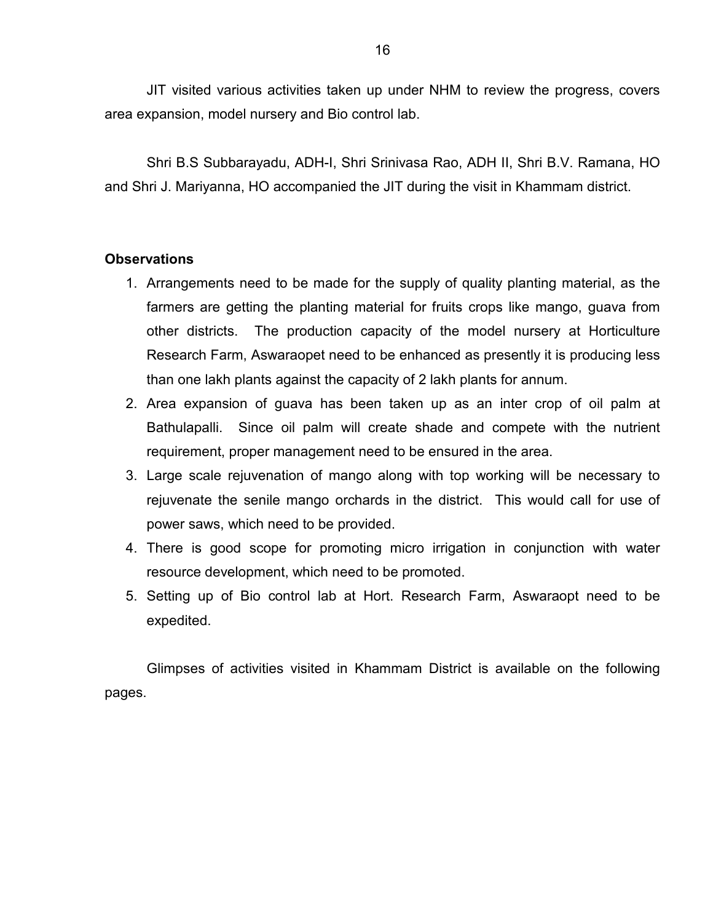JIT visited various activities taken up under NHM to review the progress, covers area expansion, model nursery and Bio control lab.

 Shri B.S Subbarayadu, ADH-I, Shri Srinivasa Rao, ADH II, Shri B.V. Ramana, HO and Shri J. Mariyanna, HO accompanied the JIT during the visit in Khammam district.

### **Observations**

- 1. Arrangements need to be made for the supply of quality planting material, as the farmers are getting the planting material for fruits crops like mango, guava from other districts. The production capacity of the model nursery at Horticulture Research Farm, Aswaraopet need to be enhanced as presently it is producing less than one lakh plants against the capacity of 2 lakh plants for annum.
- 2. Area expansion of guava has been taken up as an inter crop of oil palm at Bathulapalli. Since oil palm will create shade and compete with the nutrient requirement, proper management need to be ensured in the area.
- 3. Large scale rejuvenation of mango along with top working will be necessary to rejuvenate the senile mango orchards in the district. This would call for use of power saws, which need to be provided.
- 4. There is good scope for promoting micro irrigation in conjunction with water resource development, which need to be promoted.
- 5. Setting up of Bio control lab at Hort. Research Farm, Aswaraopt need to be expedited.

 Glimpses of activities visited in Khammam District is available on the following pages.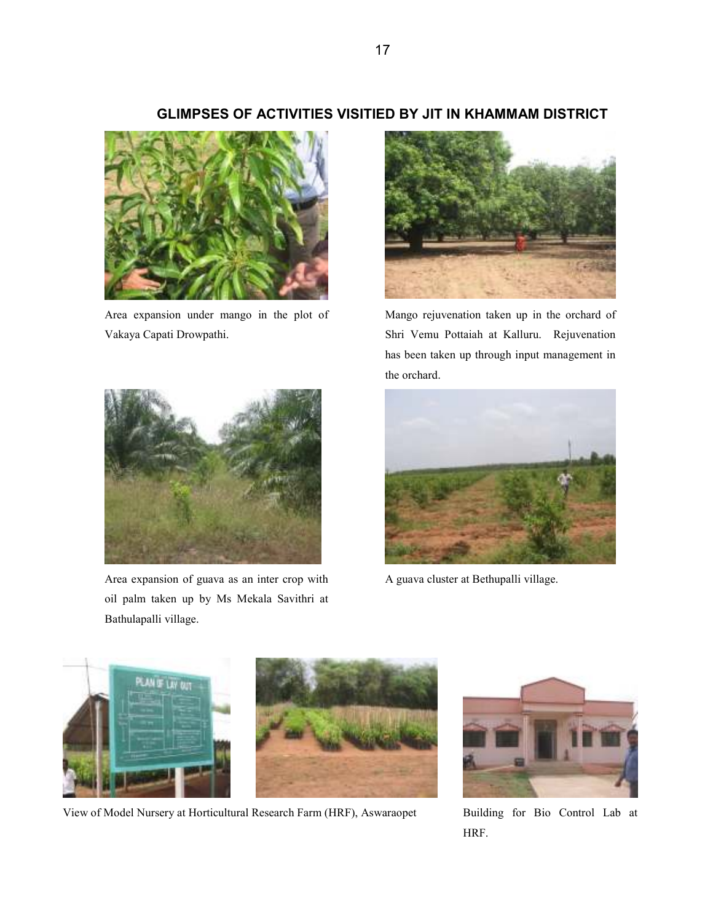# GLIMPSES OF ACTIVITIES VISITIED BY JIT IN KHAMMAM DISTRICT



Area expansion under mango in the plot of Vakaya Capati Drowpathi.



Area expansion of guava as an inter crop with oil palm taken up by Ms Mekala Savithri at Bathulapalli village.



Mango rejuvenation taken up in the orchard of Shri Vemu Pottaiah at Kalluru. Rejuvenation has been taken up through input management in the orchard.



A guava cluster at Bethupalli village.



View of Model Nursery at Horticultural Research Farm (HRF), Aswaraopet Building for Bio Control Lab at



HRF.